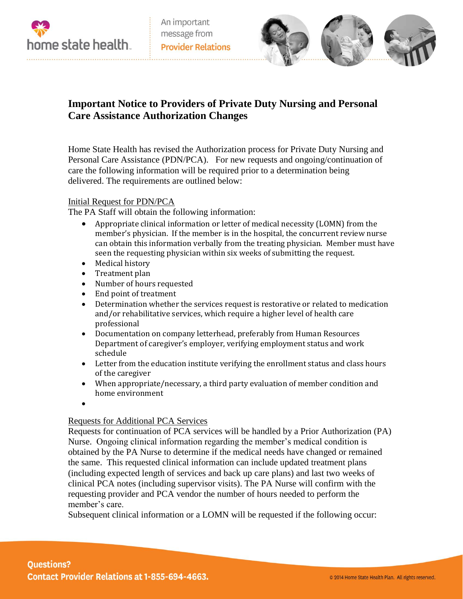



# **Important Notice to Providers of Private Duty Nursing and Personal Care Assistance Authorization Changes**

Home State Health has revised the Authorization process for Private Duty Nursing and Personal Care Assistance (PDN/PCA). For new requests and ongoing/continuation of care the following information will be required prior to a determination being delivered. The requirements are outlined below:

#### Initial Request for PDN/PCA

The PA Staff will obtain the following information:

- Appropriate clinical information or letter of medical necessity (LOMN) from the member's physician. If the member is in the hospital, the concurrent review nurse can obtain this information verbally from the treating physician. Member must have seen the requesting physician within six weeks of submitting the request.
- Medical history
- Treatment plan
- Number of hours requested
- End point of treatment
- Determination whether the services request is restorative or related to medication and/or rehabilitative services, which require a higher level of health care professional
- Documentation on company letterhead, preferably from Human Resources Department of caregiver's employer, verifying employment status and work schedule
- Letter from the education institute verifying the enrollment status and class hours of the caregiver
- When appropriate/necessary, a third party evaluation of member condition and home environment
- $\bullet$

### Requests for Additional PCA Services

Requests for continuation of PCA services will be handled by a Prior Authorization (PA) Nurse. Ongoing clinical information regarding the member's medical condition is obtained by the PA Nurse to determine if the medical needs have changed or remained the same. This requested clinical information can include updated treatment plans (including expected length of services and back up care plans) and last two weeks of clinical PCA notes (including supervisor visits). The PA Nurse will confirm with the requesting provider and PCA vendor the number of hours needed to perform the member's care.

Subsequent clinical information or a LOMN will be requested if the following occur: